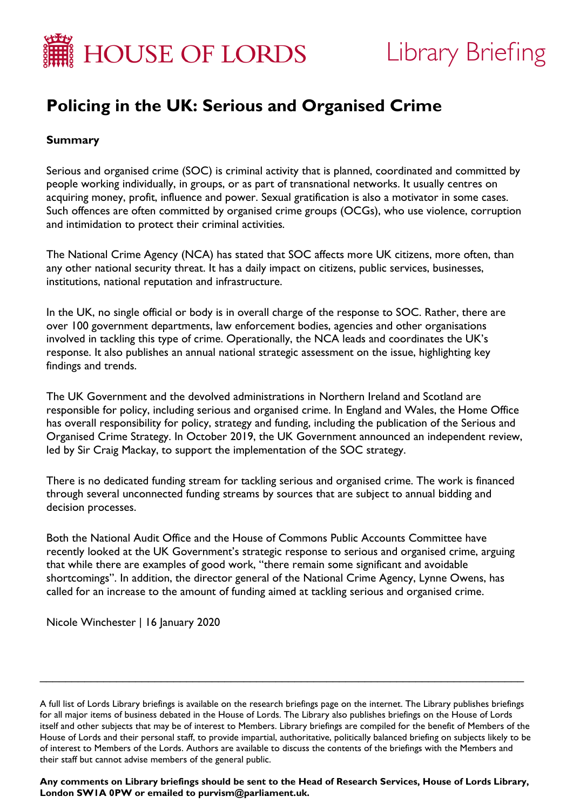

# Library Briefing

# **Policing in the UK: Serious and Organised Crime**

# **Summary**

Serious and organised crime (SOC) is criminal activity that is planned, coordinated and committed by people working individually, in groups, or as part of transnational networks. It usually centres on acquiring money, profit, influence and power. Sexual gratification is also a motivator in some cases. Such offences are often committed by organised crime groups (OCGs), who use violence, corruption and intimidation to protect their criminal activities.

The National Crime Agency (NCA) has stated that SOC affects more UK citizens, more often, than any other national security threat. It has a daily impact on citizens, public services, businesses, institutions, national reputation and infrastructure.

In the UK, no single official or body is in overall charge of the response to SOC. Rather, there are over 100 government departments, law enforcement bodies, agencies and other organisations involved in tackling this type of crime. Operationally, the NCA leads and coordinates the UK's response. It also publishes an annual national strategic assessment on the issue, highlighting key findings and trends.

The UK Government and the devolved administrations in Northern Ireland and Scotland are responsible for policy, including serious and organised crime. In England and Wales, the Home Office has overall responsibility for policy, strategy and funding, including the publication of the Serious and Organised Crime Strategy. In October 2019, the UK Government announced an independent review, led by Sir Craig Mackay, to support the implementation of the SOC strategy.

There is no dedicated funding stream for tackling serious and organised crime. The work is financed through several unconnected funding streams by sources that are subject to annual bidding and decision processes.

Both the National Audit Office and the House of Commons Public Accounts Committee have recently looked at the UK Government's strategic response to serious and organised crime, arguing that while there are examples of good work, "there remain some significant and avoidable shortcomings". In addition, the director general of the National Crime Agency, Lynne Owens, has called for an increase to the amount of funding aimed at tackling serious and organised crime.

Nicole Winchester | 16 January 2020

\_\_\_\_\_\_\_\_\_\_\_\_\_\_\_\_\_\_\_\_\_\_\_\_\_\_\_\_\_\_\_\_\_\_\_\_\_\_\_\_\_\_\_\_\_\_\_\_\_\_\_\_\_\_\_\_\_\_\_\_\_\_\_\_\_\_\_\_\_\_\_\_\_\_\_\_

**Any comments on Library briefings should be sent to the Head of Research Services, House of Lords Library, London SW1A 0PW or emailed to [purvism@parliament.uk.](mailto:purvism@parliament.uk)**

A full list of Lords Library briefings is available on the [research briefings page](http://researchbriefings.parliament.uk/) on the internet. The Library publishes briefings for all major items of business debated in the House of Lords. The Library also publishes briefings on the House of Lords itself and other subjects that may be of interest to Members. Library briefings are compiled for the benefit of Members of the House of Lords and their personal staff, to provide impartial, authoritative, politically balanced briefing on subjects likely to be of interest to Members of the Lords. Authors are available to discuss the contents of the briefings with the Members and their staff but cannot advise members of the general public.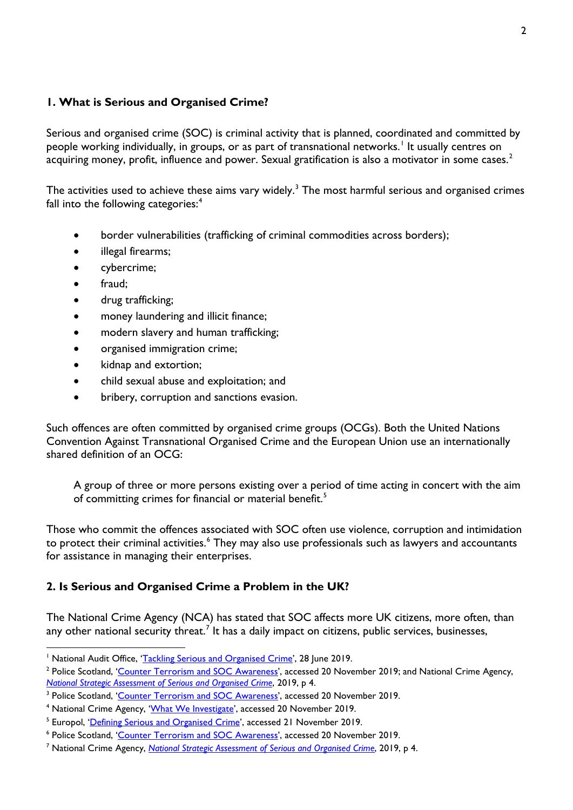#### **1. What is Serious and Organised Crime?**

Serious and organised crime (SOC) is criminal activity that is planned, coordinated and committed by people working individually, in groups, or as part of transnational networks.<sup>[1](#page-1-0)</sup> It usually centres on acquiring money, profit, influence and power. Sexual gratification is also a motivator in some cases.<sup>[2](#page-1-1)</sup>

The activities used to achieve these aims vary widely.<sup>[3](#page-1-2)</sup> The most harmful serious and organised crimes fall into the following categories:<sup>[4](#page-1-3)</sup>

- border vulnerabilities (trafficking of criminal commodities across borders);
- illegal firearms;
- cybercrime;
- fraud:
- drug trafficking;
- money laundering and illicit finance;
- modern slavery and human trafficking;
- organised immigration crime;
- kidnap and extortion;
- child sexual abuse and exploitation; and
- bribery, corruption and sanctions evasion.

Such offences are often committed by organised crime groups (OCGs). Both the United Nations Convention Against Transnational Organised Crime and the European Union use an internationally shared definition of an OCG:

A group of three or more persons existing over a period of time acting in concert with the aim of committing crimes for financial or material benefit.<sup>[5](#page-1-4)</sup>

Those who commit the offences associated with SOC often use violence, corruption and intimidation to protect their criminal activities.<sup>[6](#page-1-5)</sup> They may also use professionals such as lawyers and accountants for assistance in managing their enterprises.

## **2. Is Serious and Organised Crime a Problem in the UK?**

The National Crime Agency (NCA) has stated that SOC affects more UK citizens, more often, than any other national security threat.<sup>[7](#page-1-6)</sup> It has a daily impact on citizens, public services, businesses,

<span id="page-1-0"></span><sup>&</sup>lt;sup>1</sup> National Audit Office, ['Tackling Serious and Organised Crime'](https://www.nao.org.uk/report/serious-and-organised-crime/), 28 June 2019.

<span id="page-1-1"></span><sup>&</sup>lt;sup>2</sup> Police Scotland, 'Counter [Terrorism and SOC Awareness'](https://www.scotland.police.uk/keep-safe/280693/280696/), accessed 20 November 2019; and National Crime Agency, *[National Strategic Assessment of Serious and Organised Crime](https://nationalcrimeagency.gov.uk/who-we-are/publications/296-national-strategic-assessment-of-serious-organised-crime-2019/file)*, 2019, p 4.

<span id="page-1-2"></span><sup>&</sup>lt;sup>3</sup> Police Scotland, '<u>Counter Terrorism and SOC Awareness</u>', accessed 20 November 2019.<br><sup>4</sup> National Crime Agency, '<u>What We Investigate</u>', accessed 20 November 2019.<br><sup>5</sup> Europol, ['Defining Serious and Organised Crime',](https://www.europol.europa.eu/socta/2017/defining-serious-and-organised-crime.html) a

<span id="page-1-3"></span>

<span id="page-1-4"></span>

<span id="page-1-5"></span><sup>6</sup> Police Scotland, 'Counter [Terrorism and SOC Awareness'](https://www.scotland.police.uk/keep-safe/280693/280696/), accessed 20 November 2019.

<span id="page-1-6"></span><sup>7</sup> National Crime Agency, *[National Strategic Assessment of Serious and Organised Crime](https://nationalcrimeagency.gov.uk/who-we-are/publications/296-national-strategic-assessment-of-serious-organised-crime-2019/file)*, 2019, p 4.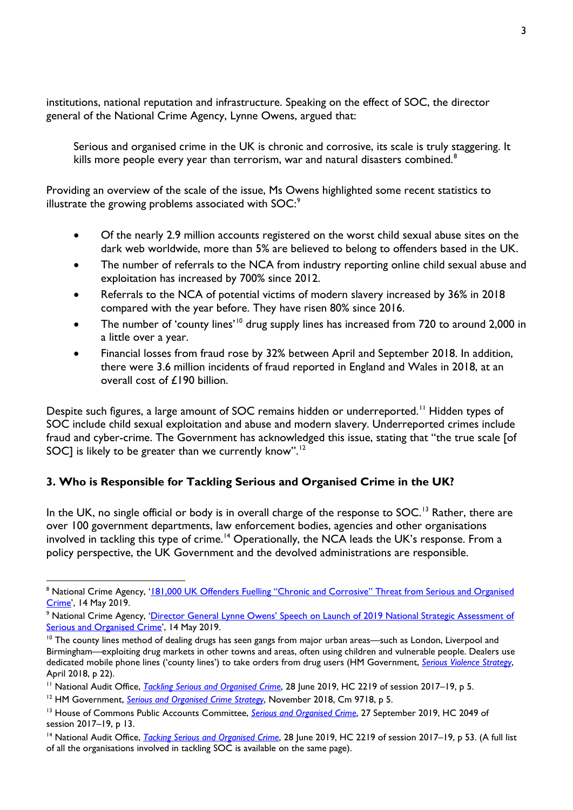institutions, national reputation and infrastructure. Speaking on the effect of SOC, the director general of the National Crime Agency, Lynne Owens, argued that:

Serious and organised crime in the UK is chronic and corrosive, its scale is truly staggering. It kills more people every year than terrorism, war and natural disasters combined.<sup>[8](#page-2-0)</sup>

Providing an overview of the scale of the issue, Ms Owens highlighted some recent statistics to illustrate the growing problems associated with SOC:<sup>[9](#page-2-1)</sup>

- Of the nearly 2.9 million accounts registered on the worst child sexual abuse sites on the dark web worldwide, more than 5% are believed to belong to offenders based in the UK.
- The number of referrals to the NCA from industry reporting online child sexual abuse and exploitation has increased by 700% since 2012.
- Referrals to the NCA of potential victims of modern slavery increased by 36% in 2018 compared with the year before. They have risen 80% since 2016.
- The number of 'county lines'<sup>[10](#page-2-2)</sup> drug supply lines has increased from 720 to around 2,000 in a little over a year.
- Financial losses from fraud rose by 32% between April and September 2018. In addition, there were 3.6 million incidents of fraud reported in England and Wales in 2018, at an overall cost of £190 billion.

Despite such figures, a large amount of SOC remains hidden or underreported.<sup>[11](#page-2-3)</sup> Hidden types of SOC include child sexual exploitation and abuse and modern slavery. Underreported crimes include fraud and cyber-crime. The Government has acknowledged this issue, stating that "the true scale [of SOC] is likely to be greater than we currently know".<sup>[12](#page-2-4)</sup>

## **3. Who is Responsible for Tackling Serious and Organised Crime in the UK?**

In the UK, no single official or body is in overall charge of the response to SOC.<sup>[13](#page-2-5)</sup> Rather, there are over 100 government departments, law enforcement bodies, agencies and other organisations involved in tackling this type of crime.<sup>[14](#page-2-6)</sup> Operationally, the NCA leads the UK's response. From a policy perspective, the UK Government and the devolved administrations are responsible.

<span id="page-2-0"></span><sup>&</sup>lt;sup>8</sup> National Crime Agency, '181,000 UK Offenders Fuelling "Chronic and Corrosive" Threat from Serious and Organised [Crime'](https://www.nationalcrimeagency.gov.uk/news/181-000-uk-offenders-fuelling-chronic-and-corrosive-threat-from-serious-and-organised-crime), 14 May 2019.

<span id="page-2-1"></span><sup>&</sup>lt;sup>9</sup> National Crime Agency, 'Director General Lynne Owens' Speech on Launch of 2019 National Strategic Assessment of [Serious and Organised Crime'](https://www.nationalcrimeagency.gov.uk/who-we-are/publications/297-national-strategic-assessment-director-general-lynne-owens-speech/file), 14 May 2019.

<span id="page-2-2"></span> $10$  The county lines method of dealing drugs has seen gangs from major urban areas—such as London, Liverpool and Birmingham—exploiting drug markets in other towns and areas, often using children and vulnerable people. Dealers use dedicated mobile phone lines ('county lines') to take orders from drug users (HM Government, *[Serious Violence Strategy](https://assets.publishing.service.gov.uk/government/uploads/system/uploads/attachment_data/file/698009/serious-violence-strategy.pdf)*, April 2018, p 22).

<span id="page-2-3"></span><sup>&</sup>lt;sup>11</sup> National Audit Office, *[Tackling Serious and Organised Crime](https://www.nao.org.uk/wp-content/uploads/2019/03/Tackling-serious-and-organised-crime.pdf)*, 28 June 2019, HC 2219 of session 2017–19, p 5.

<span id="page-2-4"></span><sup>&</sup>lt;sup>12</sup> HM Government, *[Serious and Organised Crime Strategy](https://assets.publishing.service.gov.uk/government/uploads/system/uploads/attachment_data/file/752850/SOC-2018-web.pdf)*, November 2018, Cm 9718, p 5.

<span id="page-2-5"></span><sup>&</sup>lt;sup>13</sup> House of Commons Public Accounts Committee, *[Serious and Organised Crime](https://publications.parliament.uk/pa/cm201719/cmselect/cmpubacc/2049/2049.pdf)*, 27 September 2019, HC 2049 of session 2017–19, p 13.

<span id="page-2-6"></span><sup>14</sup> National Audit Office, *[Tacking Serious and Organised Crime](https://www.nao.org.uk/wp-content/uploads/2019/03/Tackling-serious-and-organised-crime.pdf)*, 28 June 2019, HC 2219 of session 2017–19, p 53. (A full list of all the organisations involved in tackling SOC is available on the same page).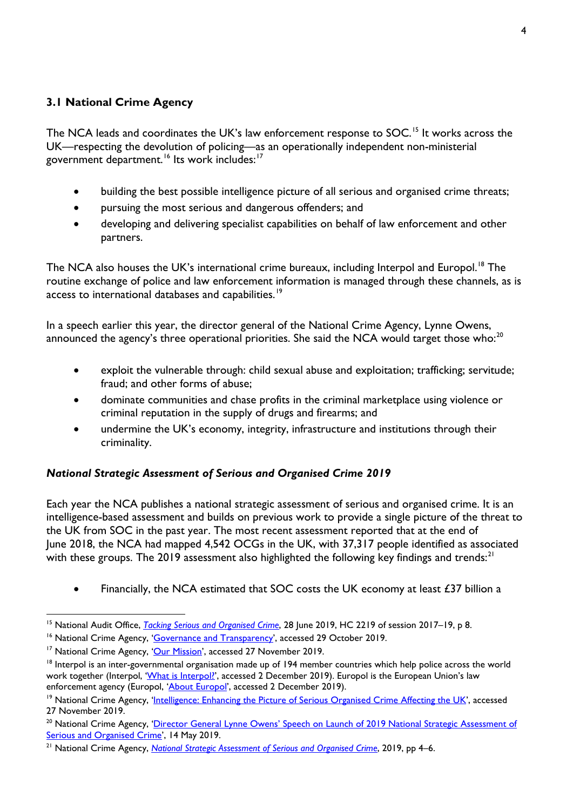## **3.1 National Crime Agency**

The NCA leads and coordinates the UK's law enforcement response to SOC.<sup>[15](#page-3-0)</sup> It works across the UK—respecting the devolution of policing—as an operationally independent non-ministerial government department.<sup>[16](#page-3-1)</sup> Its work includes:<sup>[17](#page-3-2)</sup>

- building the best possible intelligence picture of all serious and organised crime threats;
- pursuing the most serious and dangerous offenders; and
- developing and delivering specialist capabilities on behalf of law enforcement and other partners.

The NCA also houses the UK's international crime bureaux, including Interpol and Europol.<sup>18</sup> The routine exchange of police and law enforcement information is managed through these channels, as is access to international databases and capabilities.<sup>[19](#page-3-4)</sup>

In a speech earlier this year, the director general of the National Crime Agency, Lynne Owens, announced the agency's three operational priorities. She said the NCA would target those who:<sup>[20](#page-3-5)</sup>

- exploit the vulnerable through: child sexual abuse and exploitation; trafficking; servitude; fraud; and other forms of abuse;
- dominate communities and chase profits in the criminal marketplace using violence or criminal reputation in the supply of drugs and firearms; and
- undermine the UK's economy, integrity, infrastructure and institutions through their criminality.

#### *National Strategic Assessment of Serious and Organised Crime 2019*

Each year the NCA publishes a national strategic assessment of serious and organised crime. It is an intelligence-based assessment and builds on previous work to provide a single picture of the threat to the UK from SOC in the past year. The most recent assessment reported that at the end of June 2018, the NCA had mapped 4,542 OCGs in the UK, with 37,317 people identified as associated with these groups. The 2019 assessment also highlighted the following key findings and trends: $^{21}$  $^{21}$  $^{21}$ 

• Financially, the NCA estimated that SOC costs the UK economy at least £37 billion a

<span id="page-3-0"></span> <sup>15</sup> National Audit Office, *[Tacking Serious and Organised Crime](https://www.nao.org.uk/wp-content/uploads/2019/03/Tackling-serious-and-organised-crime.pdf)*, 28 June 2019, HC 2219 of session 2017–19, p 8.

<span id="page-3-1"></span><sup>&</sup>lt;sup>16</sup> National Crime Agency, ['Governance and Transparency',](https://www.nationalcrimeagency.gov.uk/who-we-are/governance-and-transparency) accessed 29 October 2019.

<span id="page-3-2"></span><sup>&</sup>lt;sup>17</sup> National Crime Agency, ['Our Mission'](https://www.nationalcrimeagency.gov.uk/who-we-are/our-mission), accessed 27 November 2019.

<span id="page-3-3"></span> $18$  Interpol is an inter-governmental organisation made up of 194 member countries which help police across the world work together (Interpol, '*What is Interpol!*', accessed 2 December 2019). Europol is the European Union's law enforcement agency (Europol, ['About Europol',](https://www.europol.europa.eu/about-europol) accessed 2 December 2019).

<span id="page-3-4"></span><sup>&</sup>lt;sup>19</sup> National Crime Agency, ['Intelligence: Enhancing the Picture of Serious Organised Crime Affecting the UK',](https://www.nationalcrimeagency.gov.uk/what-we-do/how-we-work/intelligence-enhancing-the-picture-of-serious-organised-crime-affecting-the-uk) accessed 27 November 2019.

<span id="page-3-5"></span><sup>&</sup>lt;sup>20</sup> National Crime Agency, 'Director General Lynne Owens' Speech on Launch of 2019 National Strategic Assessment of [Serious and Organised Crime'](https://www.nationalcrimeagency.gov.uk/who-we-are/publications/297-national-strategic-assessment-director-general-lynne-owens-speech/file), 14 May 2019.

<span id="page-3-6"></span><sup>&</sup>lt;sup>21</sup> National Crime Agency, *[National Strategic Assessment of Serious and Organised Crime](https://nationalcrimeagency.gov.uk/who-we-are/publications/296-national-strategic-assessment-of-serious-organised-crime-2019/file)*, 2019, pp 4–6.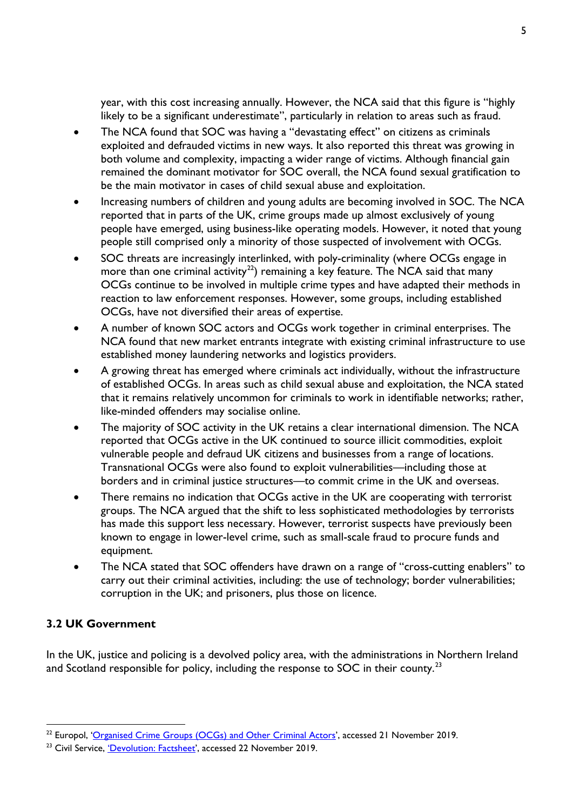year, with this cost increasing annually. However, the NCA said that this figure is "highly likely to be a significant underestimate", particularly in relation to areas such as fraud.

- The NCA found that SOC was having a "devastating effect" on citizens as criminals exploited and defrauded victims in new ways. It also reported this threat was growing in both volume and complexity, impacting a wider range of victims. Although financial gain remained the dominant motivator for SOC overall, the NCA found sexual gratification to be the main motivator in cases of child sexual abuse and exploitation.
- Increasing numbers of children and young adults are becoming involved in SOC. The NCA reported that in parts of the UK, crime groups made up almost exclusively of young people have emerged, using business-like operating models. However, it noted that young people still comprised only a minority of those suspected of involvement with OCGs.
- SOC threats are increasingly interlinked, with poly-criminality (where OCGs engage in more than one criminal activity<sup>[22](#page-4-0)</sup>) remaining a key feature. The NCA said that many OCGs continue to be involved in multiple crime types and have adapted their methods in reaction to law enforcement responses. However, some groups, including established OCGs, have not diversified their areas of expertise.
- A number of known SOC actors and OCGs work together in criminal enterprises. The NCA found that new market entrants integrate with existing criminal infrastructure to use established money laundering networks and logistics providers.
- A growing threat has emerged where criminals act individually, without the infrastructure of established OCGs. In areas such as child sexual abuse and exploitation, the NCA stated that it remains relatively uncommon for criminals to work in identifiable networks; rather, like-minded offenders may socialise online.
- The majority of SOC activity in the UK retains a clear international dimension. The NCA reported that OCGs active in the UK continued to source illicit commodities, exploit vulnerable people and defraud UK citizens and businesses from a range of locations. Transnational OCGs were also found to exploit vulnerabilities—including those at borders and in criminal justice structures—to commit crime in the UK and overseas.
- There remains no indication that OCGs active in the UK are cooperating with terrorist groups. The NCA argued that the shift to less sophisticated methodologies by terrorists has made this support less necessary. However, terrorist suspects have previously been known to engage in lower-level crime, such as small-scale fraud to procure funds and equipment.
- The NCA stated that SOC offenders have drawn on a range of "cross-cutting enablers" to carry out their criminal activities, including: the use of technology; border vulnerabilities; corruption in the UK; and prisoners, plus those on licence.

## **3.2 UK Government**

In the UK, justice and policing is a devolved policy area, with the administrations in Northern Ireland and Scotland responsible for policy, including the response to SOC in their county.<sup>[23](#page-4-1)</sup>

<span id="page-4-0"></span><sup>&</sup>lt;sup>22</sup> Europol, ['Organised Crime Groups \(OCGs\) and Other Criminal Actors'](https://www.europol.europa.eu/socta/2017/organised-crime-groups.html), accessed 21 November 2019.

<span id="page-4-1"></span><sup>&</sup>lt;sup>23</sup> Civil Service, *'Devolution: Factsheet'*, accessed 22 November 2019.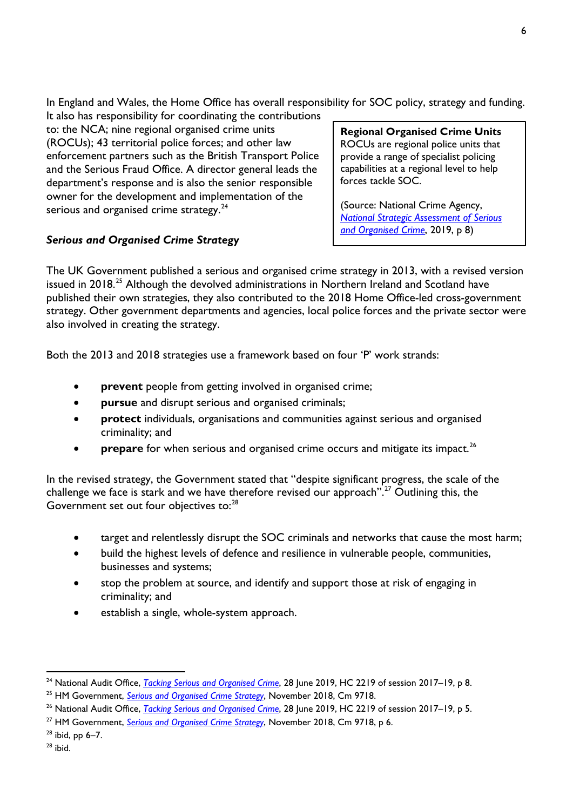In England and Wales, the Home Office has overall responsibility for SOC policy, strategy and funding.

It also has responsibility for coordinating the contributions to: the NCA; nine regional organised crime units (ROCUs); 43 territorial police forces; and other law enforcement partners such as the British Transport Police and the Serious Fraud Office. A director general leads the department's response and is also the senior responsible owner for the development and implementation of the serious and organised crime strategy.<sup>[24](#page-5-0)</sup>

# *Serious and Organised Crime Strategy*

**Regional Organised Crime Units** ROCUs are regional police units that provide a range of specialist policing capabilities at a regional level to help forces tackle SOC.

(Source: National Crime Agency, *[National Strategic Assessment of Serious](https://nationalcrimeagency.gov.uk/who-we-are/publications/296-national-strategic-assessment-of-serious-organised-crime-2019/file)  [and Organised Crime](https://nationalcrimeagency.gov.uk/who-we-are/publications/296-national-strategic-assessment-of-serious-organised-crime-2019/file)*, 2019, p 8)

The UK Government published a serious and organised crime strategy in 2013, with a revised version issued in 2018.<sup>[25](#page-5-1)</sup> Although the devolved administrations in Northern Ireland and Scotland have published their own strategies, they also contributed to the 2018 Home Office-led cross-government strategy. Other government departments and agencies, local police forces and the private sector were also involved in creating the strategy.

Both the 2013 and 2018 strategies use a framework based on four 'P' work strands:

- **prevent** people from getting involved in organised crime;
- **pursue** and disrupt serious and organised criminals;
- **protect** individuals, organisations and communities against serious and organised criminality; and
- prepare for when serious and organised crime occurs and mitigate its impact.<sup>[26](#page-5-2)</sup>

In the revised strategy, the Government stated that "despite significant progress, the scale of the challenge we face is stark and we have therefore revised our approach".<sup>[27](#page-5-3)</sup> Outlining this, the Government set out four objectives to:<sup>[28](#page-5-4)</sup>

- target and relentlessly disrupt the SOC criminals and networks that cause the most harm;
- build the highest levels of defence and resilience in vulnerable people, communities, businesses and systems;
- stop the problem at source, and identify and support those at risk of engaging in criminality; and
- establish a single, whole-system approach.

<span id="page-5-0"></span><sup>&</sup>lt;sup>24</sup> National Audit Office, *[Tacking Serious and Organised Crime](https://www.nao.org.uk/wp-content/uploads/2019/03/Tackling-serious-and-organised-crime.pdf)*, 28 June 2019, HC 2219 of session 2017–19, p 8.

<span id="page-5-1"></span><sup>25</sup> HM Government, *[Serious and Organised Crime Strategy](https://assets.publishing.service.gov.uk/government/uploads/system/uploads/attachment_data/file/752850/SOC-2018-web.pdf)*, November 2018, Cm 9718.

<span id="page-5-2"></span><sup>&</sup>lt;sup>26</sup> National Audit Office, *[Tacking Serious and Organised Crime](https://www.nao.org.uk/wp-content/uploads/2019/03/Tackling-serious-and-organised-crime.pdf)*, 28 June 2019, HC 2219 of session 2017–19, p 5.

<span id="page-5-3"></span><sup>27</sup> HM Government, *[Serious and Organised Crime Strategy](https://assets.publishing.service.gov.uk/government/uploads/system/uploads/attachment_data/file/752850/SOC-2018-web.pdf)*, November 2018, Cm 9718, p 6.

<span id="page-5-4"></span> $28$  ibid, pp 6–7.

 $28$  ibid.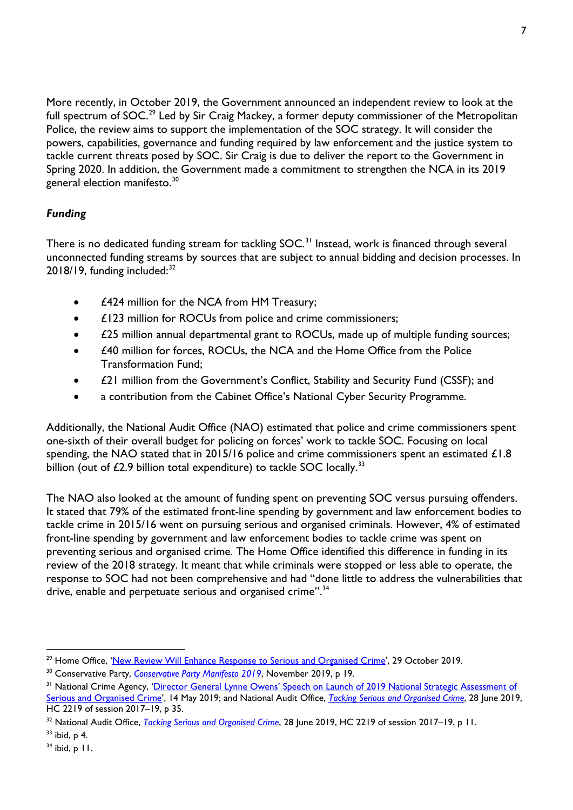More recently, in October 2019, the Government announced an independent review to look at the full spectrum of SOC.<sup>[29](#page-6-0)</sup> Led by Sir Craig Mackey, a former deputy commissioner of the Metropolitan Police, the review aims to support the implementation of the SOC strategy. It will consider the powers, capabilities, governance and funding required by law enforcement and the justice system to tackle current threats posed by SOC. Sir Craig is due to deliver the report to the Government in Spring 2020. In addition, the Government made a commitment to strengthen the NCA in its 2019 general election manifesto.<sup>[30](#page-6-1)</sup>

# *Funding*

There is no dedicated funding stream for tackling SOC.<sup>[31](#page-6-2)</sup> Instead, work is financed through several unconnected funding streams by sources that are subject to annual bidding and decision processes. In  $2018/19$ , funding included: $32$ 

- £424 million for the NCA from HM Treasury;
- **£123 million for ROCUs from police and crime commissioners;**
- $£25$  million annual departmental grant to ROCUs, made up of multiple funding sources;
- £40 million for forces, ROCUs, the NCA and the Home Office from the Police Transformation Fund;
- £21 million from the Government's Conflict, Stability and Security Fund (CSSF); and
- a contribution from the Cabinet Office's National Cyber Security Programme.

Additionally, the National Audit Office (NAO) estimated that police and crime commissioners spent one-sixth of their overall budget for policing on forces' work to tackle SOC. Focusing on local spending, the NAO stated that in 2015/16 police and crime commissioners spent an estimated £1.8 billion (out of  $£2.9$  billion total expenditure) to tackle SOC locally.<sup>[33](#page-6-4)</sup>

The NAO also looked at the amount of funding spent on preventing SOC versus pursuing offenders. It stated that 79% of the estimated front-line spending by government and law enforcement bodies to tackle crime in 2015/16 went on pursuing serious and organised criminals. However, 4% of estimated front-line spending by government and law enforcement bodies to tackle crime was spent on preventing serious and organised crime. The Home Office identified this difference in funding in its review of the 2018 strategy. It meant that while criminals were stopped or less able to operate, the response to SOC had not been comprehensive and had "done little to address the vulnerabilities that drive, enable and perpetuate serious and organised crime".<sup>[34](#page-6-5)</sup>

<span id="page-6-0"></span><sup>&</sup>lt;sup>29</sup> Home Office, ['New Review Will Enhance Response to Serious and Organised Crime',](https://www.gov.uk/government/news/new-review-will-enhance-response-to-serious-and-organised-crime) 29 October 2019.

<span id="page-6-1"></span><sup>30</sup> Conservative Party, *Conservative [Party Manifesto 2019](https://assets-global.website-files.com/5da42e2cae7ebd3f8bde353c/5dda924905da587992a064ba_Conservative%202019%20Manifesto.pdf)*, November 2019, p 19.

<span id="page-6-2"></span><sup>&</sup>lt;sup>31</sup> National Crime Agency, '<u>Director General Lynne Owens' Speech on Launch of 2019 National Strategic Assessment of</u> [Serious and Organised Crime'](https://www.nationalcrimeagency.gov.uk/who-we-are/publications/297-national-strategic-assessment-director-general-lynne-owens-speech/file), 14 May 2019; and National Audit Office, *[Tacking Serious and Organised Crime](https://www.nao.org.uk/wp-content/uploads/2019/03/Tackling-serious-and-organised-crime.pdf)*, 28 June 2019, HC 2219 of session 2017–19, p 35.

<span id="page-6-3"></span><sup>&</sup>lt;sup>32</sup> National Audit Office, *[Tacking Serious and Organised Crime](https://www.nao.org.uk/wp-content/uploads/2019/03/Tackling-serious-and-organised-crime.pdf)*, 28 June 2019, HC 2219 of session 2017–19, p 11.

<span id="page-6-4"></span> $33$  ibid, p 4.

<span id="page-6-5"></span> $34$  ibid, p  $11$ .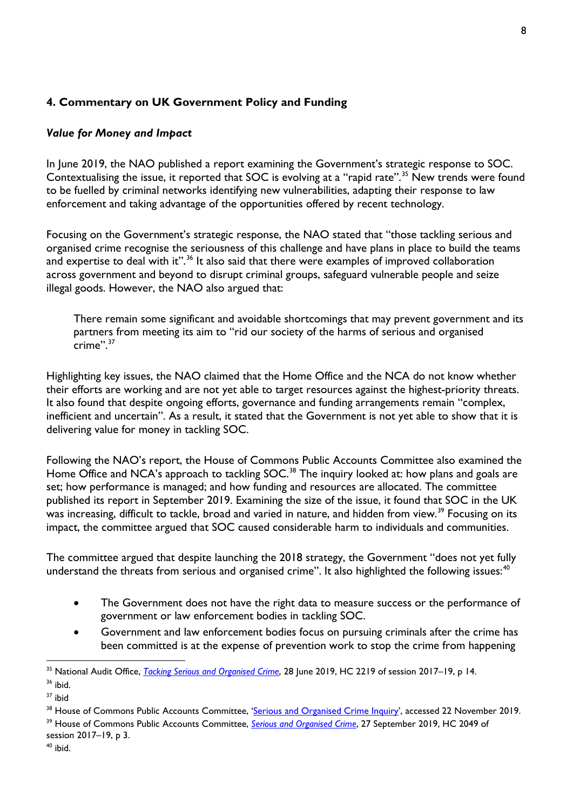## **4. Commentary on UK Government Policy and Funding**

## *Value for Money and Impact*

In June 2019, the NAO published a report examining the Government's strategic response to SOC. Contextualising the issue, it reported that SOC is evolving at a "rapid rate".<sup>[35](#page-7-0)</sup> New trends were found to be fuelled by criminal networks identifying new vulnerabilities, adapting their response to law enforcement and taking advantage of the opportunities offered by recent technology.

Focusing on the Government's strategic response, the NAO stated that "those tackling serious and organised crime recognise the seriousness of this challenge and have plans in place to build the teams and expertise to deal with it". $36$  It also said that there were examples of improved collaboration across government and beyond to disrupt criminal groups, safeguard vulnerable people and seize illegal goods. However, the NAO also argued that:

There remain some significant and avoidable shortcomings that may prevent government and its partners from meeting its aim to "rid our society of the harms of serious and organised  $crime"$ <sup>37</sup>

Highlighting key issues, the NAO claimed that the Home Office and the NCA do not know whether their efforts are working and are not yet able to target resources against the highest-priority threats. It also found that despite ongoing efforts, governance and funding arrangements remain "complex, inefficient and uncertain". As a result, it stated that the Government is not yet able to show that it is delivering value for money in tackling SOC.

Following the NAO's report, the House of Commons Public Accounts Committee also examined the Home Office and NCA's approach to tackling SOC.<sup>[38](#page-7-3)</sup> The inquiry looked at: how plans and goals are set; how performance is managed; and how funding and resources are allocated. The committee published its report in September 2019. Examining the size of the issue, it found that SOC in the UK was increasing, difficult to tackle, broad and varied in nature, and hidden from view.<sup>[39](#page-7-4)</sup> Focusing on its impact, the committee argued that SOC caused considerable harm to individuals and communities.

The committee argued that despite launching the 2018 strategy, the Government "does not yet fully understand the threats from serious and organised crime". It also highlighted the following issues:  $40$ 

- The Government does not have the right data to measure success or the performance of government or law enforcement bodies in tackling SOC.
- Government and law enforcement bodies focus on pursuing criminals after the crime has been committed is at the expense of prevention work to stop the crime from happening

<span id="page-7-0"></span><sup>&</sup>lt;sup>35</sup> National Audit Office, *[Tacking Serious and Organised Crime](https://www.nao.org.uk/wp-content/uploads/2019/03/Tackling-serious-and-organised-crime.pdf)*, 28 June 2019, HC 2219 of session 2017–19, p 14.

<span id="page-7-1"></span> $36$  ibid.

<span id="page-7-2"></span> $37$  ibid

<span id="page-7-4"></span><span id="page-7-3"></span><sup>&</sup>lt;sup>38</sup> House of Commons Public Accounts Committee, ['Serious and Organised Crime Inquiry'](https://www.parliament.uk/business/committees/committees-a-z/commons-select/public-accounts-committee/inquiries/parliament-2017/inquiry34/), accessed 22 November 2019. <sup>39</sup> House of Commons Public Accounts Committee, *[Serious and Organised Crime](https://publications.parliament.uk/pa/cm201719/cmselect/cmpubacc/2049/2049.pdf)*, 27 September 2019, HC 2049 of session 2017–19, p 3.

<span id="page-7-5"></span> $40$  ibid.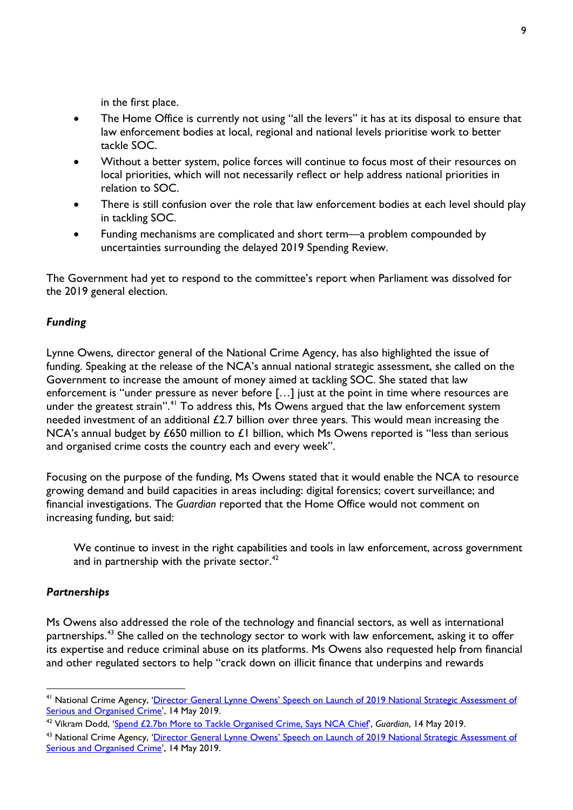in the first place.

- The Home Office is currently not using "all the levers" it has at its disposal to ensure that law enforcement bodies at local, regional and national levels prioritise work to better tackle SOC.
- Without a better system, police forces will continue to focus most of their resources on local priorities, which will not necessarily reflect or help address national priorities in relation to SOC.
- There is still confusion over the role that law enforcement bodies at each level should play in tackling SOC.
- Funding mechanisms are complicated and short term—a problem compounded by uncertainties surrounding the delayed 2019 Spending Review.

The Government had yet to respond to the committee's report when Parliament was dissolved for the 2019 general election.

#### *Funding*

Lynne Owens, director general of the National Crime Agency, has also highlighted the issue of funding. Speaking at the release of the NCA's annual national strategic assessment, she called on the Government to increase the amount of money aimed at tackling SOC. She stated that law enforcement is "under pressure as never before […] just at the point in time where resources are under the greatest strain".<sup>[41](#page-8-0)</sup> To address this, Ms Owens argued that the law enforcement system needed investment of an additional £2.7 billion over three years. This would mean increasing the NCA's annual budget by £650 million to £1 billion, which Ms Owens reported is "less than serious and organised crime costs the country each and every week".

Focusing on the purpose of the funding, Ms Owens stated that it would enable the NCA to resource growing demand and build capacities in areas including: digital forensics; covert surveillance; and financial investigations. The *Guardian* reported that the Home Office would not comment on increasing funding, but said:

We continue to invest in the right capabilities and tools in law enforcement, across government and in partnership with the private sector. $42$ 

#### *Partnerships*

Ms Owens also addressed the role of the technology and financial sectors, as well as international partnerships.<sup>[43](#page-8-2)</sup> She called on the technology sector to work with law enforcement, asking it to offer its expertise and reduce criminal abuse on its platforms. Ms Owens also requested help from financial and other regulated sectors to help "crack down on illicit finance that underpins and rewards

<span id="page-8-0"></span><sup>&</sup>lt;sup>41</sup> National Crime Agency, 'Director General Lynne Owens' Speech on Launch of 2019 National Strategic Assessment of [Serious and Organised Crime'](https://www.nationalcrimeagency.gov.uk/who-we-are/publications/297-national-strategic-assessment-director-general-lynne-owens-speech/file), 14 May 2019.

<span id="page-8-1"></span><sup>42</sup> Vikram Dodd, ['Spend £2.7bn More to Tackle Organised Crime, Says NCA Chief'](https://www.theguardian.com/uk-news/2019/may/14/spend-27bn-more-to-tackle-organised-says-nca-chief), *Guardian*, 14 May 2019.

<span id="page-8-2"></span><sup>&</sup>lt;sup>43</sup> National Crime Agency, 'Director General Lynne Owens' Speech on Launch of 2019 National Strategic Assessment of [Serious and Organised Crime'](https://www.nationalcrimeagency.gov.uk/who-we-are/publications/297-national-strategic-assessment-director-general-lynne-owens-speech/file), 14 May 2019.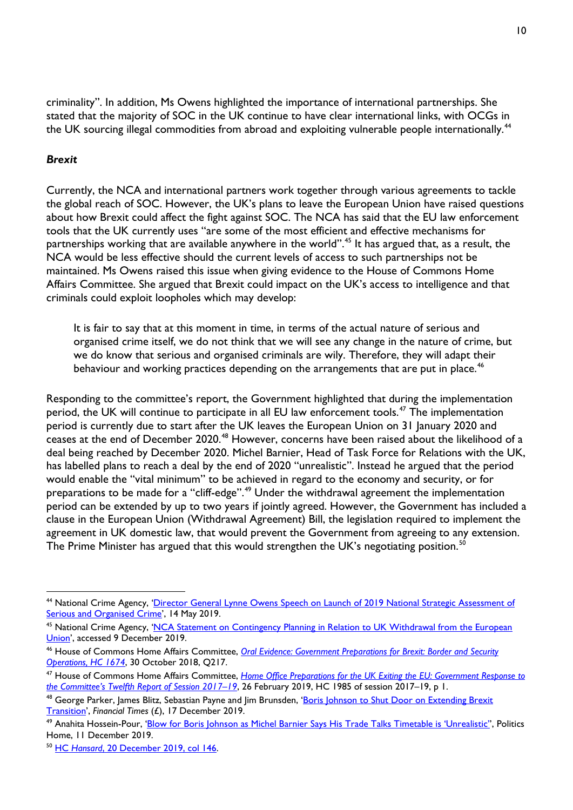criminality". In addition, Ms Owens highlighted the importance of international partnerships. She stated that the majority of SOC in the UK continue to have clear international links, with OCGs in the UK sourcing illegal commodities from abroad and exploiting vulnerable people internationally.<sup>[44](#page-9-0)</sup>

#### *Brexit*

Currently, the NCA and international partners work together through various agreements to tackle the global reach of SOC. However, the UK's plans to leave the European Union have raised questions about how Brexit could affect the fight against SOC. The NCA has said that the EU law enforcement tools that the UK currently uses "are some of the most efficient and effective mechanisms for partnerships working that are available anywhere in the world".[45](#page-9-1) It has argued that, as a result, the NCA would be less effective should the current levels of access to such partnerships not be maintained. Ms Owens raised this issue when giving evidence to the House of Commons Home Affairs Committee. She argued that Brexit could impact on the UK's access to intelligence and that criminals could exploit loopholes which may develop:

It is fair to say that at this moment in time, in terms of the actual nature of serious and organised crime itself, we do not think that we will see any change in the nature of crime, but we do know that serious and organised criminals are wily. Therefore, they will adapt their behaviour and working practices depending on the arrangements that are put in place.<sup>[46](#page-9-2)</sup>

Responding to the committee's report, the Government highlighted that during the implementation period, the UK will continue to participate in all EU law enforcement tools.<sup>[47](#page-9-3)</sup> The implementation period is currently due to start after the UK leaves the European Union on 31 January 2020 and ceases at the end of December 2020.[48](#page-9-4) However, concerns have been raised about the likelihood of a deal being reached by December 2020. Michel Barnier, Head of Task Force for Relations with the UK, has labelled plans to reach a deal by the end of 2020 "unrealistic". Instead he argued that the period would enable the "vital minimum" to be achieved in regard to the economy and security, or for preparations to be made for a "cliff-edge".<sup>[49](#page-9-5)</sup> Under the withdrawal agreement the implementation period can be extended by up to two years if jointly agreed. However, the Government has included a clause in the European Union (Withdrawal Agreement) Bill, the legislation required to implement the agreement in UK domestic law, that would prevent the Government from agreeing to any extension. The Prime Minister has argued that this would strengthen the UK's negotiating position.<sup>[50](#page-9-6)</sup>

<span id="page-9-0"></span> <sup>44</sup> National Crime Agency, ['Director General Lynne Owens Speech on Launch of 2019 National Strategic Assessment of](https://www.nationalcrimeagency.gov.uk/who-we-are/publications/297-national-strategic-assessment-director-general-lynne-owens-speech/file)  [Serious and Organised Crime'](https://www.nationalcrimeagency.gov.uk/who-we-are/publications/297-national-strategic-assessment-director-general-lynne-owens-speech/file), 14 May 2019.

<span id="page-9-1"></span><sup>&</sup>lt;sup>45</sup> National Crime Agency, 'NCA Statement on Contingency Planning in Relation to UK Withdrawal from the European [Union'](https://www.nationalcrimeagency.gov.uk/news/nca-statement-on-contingency-planning-in-relation-to-uk-withdrawal-from-the-european-union), accessed 9 December 2019.

<span id="page-9-2"></span><sup>46</sup> House of Commons Home Affairs Committee, *[Oral Evidence: Government Preparations for Brexit: Border and Security](http://data.parliament.uk/writtenevidence/committeeevidence.svc/evidencedocument/home-affairs-committee/government-preparations-for-brexit/oral/92133.pdf)  [Operations,](http://data.parliament.uk/writtenevidence/committeeevidence.svc/evidencedocument/home-affairs-committee/government-preparations-for-brexit/oral/92133.pdf) HC 1674*, 30 October 2018, Q217.

<span id="page-9-3"></span><sup>47</sup> House of Commons Home Affairs Committee, *[Home Office Preparations for the UK Exiting the EU: Government Response to](https://publications.parliament.uk/pa/cm201719/cmselect/cmhaff/1985/1985.pdf)  [the Committee's Twelfth Report of Session 2017–19](https://publications.parliament.uk/pa/cm201719/cmselect/cmhaff/1985/1985.pdf)*, 26 February 2019, HC 1985 of session 2017–19, p 1.

<span id="page-9-4"></span><sup>&</sup>lt;sup>48</sup> George Parker, James Blitz, Sebastian Payne and Jim Brunsden, '<u>Boris Johnson to Shut Door on Extending Brexit</u> [Transition',](https://www.ft.com/content/739a46f6-202b-11ea-b8a1-584213ee7b2b) *Financial Times* (£), 17 December 2019.

<span id="page-9-5"></span><sup>&</sup>lt;sup>49</sup> Anahita Hossein-Pour. ['Blow for Boris Johnson as Michel Barnier Says His Trade Talks Timetable is 'Unrealistic''](https://www.politicshome.com/news/uk/foreign-affairs/brexit/news/108507/blow-boris-johnson-michel-barnier-says-his-brexit-trade), Politics Home, 11 December 2019.

<span id="page-9-6"></span><sup>50</sup> HC *Hansard*[, 20 December 2019, col 146.](https://hansard.parliament.uk/commons/2019-12-20/debates/FE5B9762-F298-457B-8306-98D2D1D3519B/EuropeanUnion(WithdrawalAgreement)Bill)